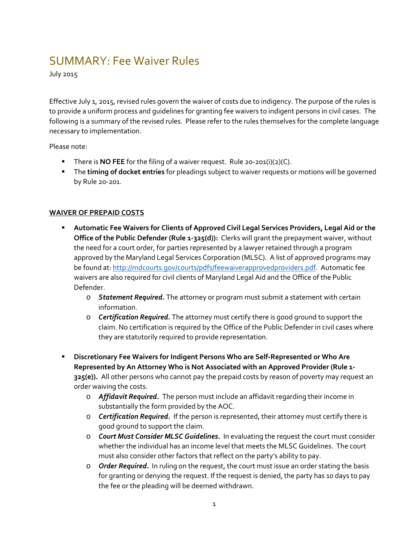## SUMMARY: Fee Waiver Rules

July 2015

Effective July 1, 2015, revised rules govern the waiver of costs due to indigency. The purpose of the rules is to provide a uniform process and guidelines for granting fee waivers to indigent persons in civil cases. The following is a summary of the revised rules. Please refer to the rules themselves for the complete language necessary to implementation.

Please note:

- There is **NO FEE** for the filing of a waiver request. Rule 20-201(i)(2)(C).
- The **timing of docket entries** for pleadings subject to waiver requests or motions will be governed by Rule 20-201.

## **WAIVER OF PREPAID COSTS**

- **Automatic Fee Waivers for Clients of Approved Civil Legal Services Providers, Legal Aid or the Office of the Public Defender (Rule 1-325(d)):** Clerks will grant the prepayment waiver, without the need for a court order, for parties represented by a lawyer retained through a program approved by the Maryland Legal Services Corporation (MLSC). A list of approved programs may be found at: [http://mdcourts.gov/courts/pdfs/feewaiverapprovedproviders.pdf.](http://mdcourts.gov/courts/pdfs/feewaiverapprovedproviders.pdf) Automatic fee waivers are also required for civil clients of Maryland Legal Aid and the Office of the Public Defender.
	- o *Statement Required.* The attorney or program must submit a statement with certain information.
	- o *Certification Required.* The attorney must certify there is good ground to support the claim. No certification is required by the Office of the Public Defender in civil cases where they are statutorily required to provide representation.
- **Discretionary Fee Waivers for Indigent Persons Who are Self-Represented or Who Are Represented by An Attorney Who is Not Associated with an Approved Provider (Rule 1- 325(e)).** All other persons who cannot pay the prepaid costs by reason of poverty may request an order waiving the costs.
	- o *Affidavit Required.* The person must include an affidavit regarding their income in substantially the form provided by the AOC.
	- o *Certification Required.* If the person is represented, their attorney must certify there is good ground to support the claim.
	- o *Court Must Consider MLSC Guidelines.*In evaluating the request the court must consider whether the individual has an income level that meets the MLSC Guidelines. The court must also consider other factors that reflect on the party's ability to pay.
	- o *Order Required***.** In ruling on the request, the court must issue an order stating the basis for granting or denying the request. If the request is denied, the party has 10 days to pay the fee or the pleading will be deemed withdrawn.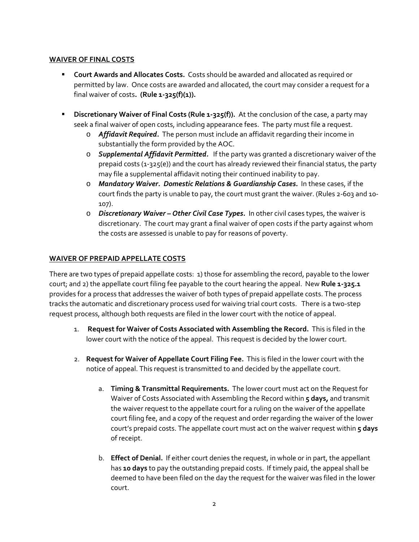## **WAIVER OF FINAL COSTS**

- **Court Awards and Allocates Costs.** Costs should be awarded and allocated as required or permitted by law. Once costs are awarded and allocated, the court may consider a request for a final waiver of costs**. (Rule 1-325(f)(1)).**
- **Discretionary Waiver of Final Costs (Rule 1-325(f)).** At the conclusion of the case, a party may seek a final waiver of open costs, including appearance fees. The party must file a request.
	- o *Affidavit Required.* The person must include an affidavit regarding their income in substantially the form provided by the AOC.
	- o *Supplemental Affidavit Permitted.* If the party was granted a discretionary waiver of the prepaid costs (1-325(e)) and the court has already reviewed their financial status, the party may file a supplemental affidavit noting their continued inability to pay.
	- o *Mandatory Waiver. Domestic Relations & Guardianship Cases.* In these cases, if the court finds the party is unable to pay, the court must grant the waiver. (Rules 2-603 and 10-107).
	- o *Discretionary Waiver – Other Civil Case Types.*In other civil cases types, the waiver is discretionary. The court may grant a final waiver of open costs if the party against whom the costs are assessed is unable to pay for reasons of poverty.

## **WAIVER OF PREPAID APPELLATE COSTS**

There are two types of prepaid appellate costs: 1) those for assembling the record, payable to the lower court; and 2) the appellate court filing fee payable to the court hearing the appeal. New **Rule 1-325.1** provides for a process that addresses the waiver of both types of prepaid appellate costs. The process tracks the automatic and discretionary process used for waiving trial court costs. There is a two-step request process, although both requests are filed in the lower court with the notice of appeal.

- 1. **Request for Waiver of Costs Associated with Assembling the Record.** This is filed in the lower court with the notice of the appeal. This request is decided by the lower court.
- 2. **Request for Waiver of Appellate Court Filing Fee.** This is filed in the lower court with the notice of appeal. This request is transmitted to and decided by the appellate court.
	- a. **Timing & Transmittal Requirements.** The lower court must act on the Request for Waiver of Costs Associated with Assembling the Record within **5 days***,* and transmit the waiver request to the appellate court for a ruling on the waiver of the appellate court filing fee, and a copy of the request and order regarding the waiver of the lower court's prepaid costs. The appellate court must act on the waiver request within **5 days** of receipt.
	- b. **Effect of Denial.** If either court denies the request, in whole or in part, the appellant has **10 days** to pay the outstanding prepaid costs. If timely paid, the appeal shall be deemed to have been filed on the day the request for the waiver was filed in the lower court.